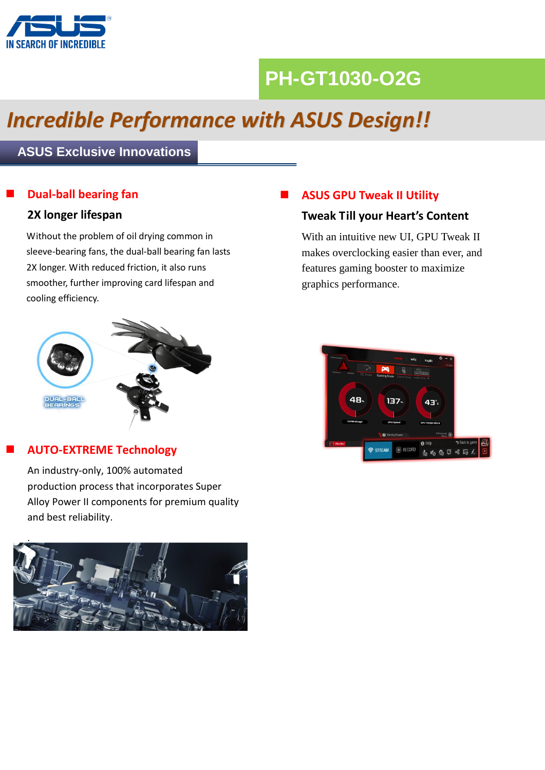

# **PH-GT1030-O2G**

# *Incredible Performance with ASUS Design!!*

## **ASUS Exclusive Innovations**

## **Dual-ball bearing fan**

### **2X longer lifespan**

Without the problem of oil drying common in sleeve-bearing fans, the dual-ball bearing fan lasts 2X longer. With reduced friction, it also runs smoother, further improving card lifespan and cooling efficiency.



### **AUTO-EXTREME Technology**

An industry-only, 100% automated production process that incorporates Super Alloy Power II components for premium quality and best reliability.



## **ASUS GPU Tweak II Utility**

### **Tweak Till your Heart's Content**

With an intuitive new UI, GPU Tweak II makes overclocking easier than ever, and features gaming booster to maximize graphics performance.

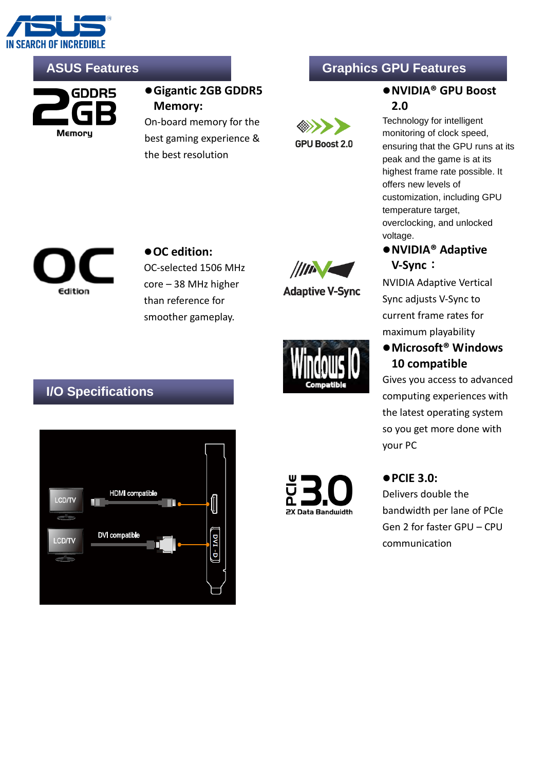



**Gigantic 2GB GDDR5 Memory:** 

On-board memory for the best gaming experience & the best resolution

# **ASUS Features Graphics GPU Features**



## **NVIDIA® GPU Boost 2.0**

Technology for intelligent monitoring of clock speed, ensuring that the GPU runs at its peak and the game is at its highest frame rate possible. It offers new levels of customization, including GPU temperature target, overclocking, and unlocked voltage.

**NVIDIA® Adaptive** 

NVIDIA Adaptive Vertical Sync adjusts V-Sync to current frame rates for maximum playability

**V-Sync**:



● OC edition: OC-selected 1506 MHz core – 38 MHz higher than reference for smoother gameplay.



**Adaptive V-Sync** 

# ● Microsoft<sup>®</sup> Windows **10 compatible**

Gives you access to advanced computing experiences with the latest operating system so you get more done with your PC

# **I/O Specifications**





## **PCIE 3.0:**

Delivers double the bandwidth per lane of PCIe Gen 2 for faster GPU – CPU communication